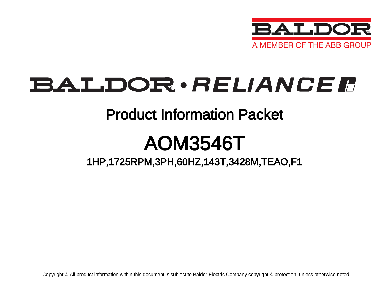

# BALDOR · RELIANCE F

## Product Information Packet

# AOM3546T

## 1HP,1725RPM,3PH,60HZ,143T,3428M,TEAO,F1

Copyright © All product information within this document is subject to Baldor Electric Company copyright © protection, unless otherwise noted.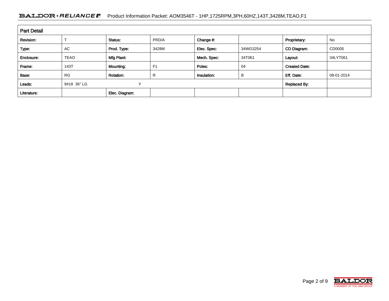### BALDOR · RELIANCE F Product Information Packet: AOM3546T - 1HP,1725RPM,3PH,60HZ,143T,3428M,TEAO,F1

| <b>Part Detail</b> |             |                  |                |             |          |                      |            |  |
|--------------------|-------------|------------------|----------------|-------------|----------|----------------------|------------|--|
| Revision:          |             | Status:          | PRD/A          | Change #:   |          | Proprietary:         | No         |  |
| Type:              | AC          | Prod. Type:      | 3428M          | Elec. Spec: | 34WG3254 | CD Diagram:          | CD0005     |  |
| Enclosure:         | <b>TEAO</b> | Mfg Plant:       |                | Mech. Spec: | 34T061   | Layout:              | 34LYT061   |  |
| Frame:             | 143T        | Mounting:        | F <sub>1</sub> | Poles:      | 04       | <b>Created Date:</b> |            |  |
| Base:              | <b>RG</b>   | <b>Rotation:</b> | R              | Insulation: | B        | Eff. Date:           | 08-01-2014 |  |
| Leads:             | 9#18 36" LG | v                |                |             |          | <b>Replaced By:</b>  |            |  |
| Literature:        |             | Elec. Diagram:   |                |             |          |                      |            |  |

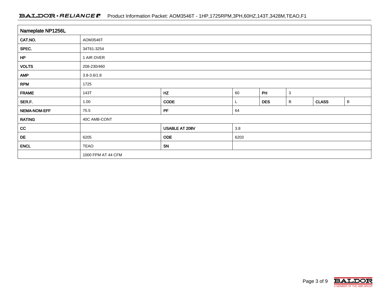### BALDOR · RELIANCE F Product Information Packet: AOM3546T - 1HP,1725RPM,3PH,60HZ,143T,3428M,TEAO,F1

| Nameplate NP1256L |                                        |                |                      |  |  |              |             |  |  |
|-------------------|----------------------------------------|----------------|----------------------|--|--|--------------|-------------|--|--|
| CAT.NO.           | AOM3546T                               |                |                      |  |  |              |             |  |  |
| SPEC.             | 34T61-3254                             |                |                      |  |  |              |             |  |  |
| HP                | 1 AIR OVER                             |                |                      |  |  |              |             |  |  |
| <b>VOLTS</b>      | 208-230/460                            |                |                      |  |  |              |             |  |  |
| <b>AMP</b>        | $3.8 - 3.6 / 1.8$                      |                |                      |  |  |              |             |  |  |
| <b>RPM</b>        | 1725                                   |                |                      |  |  |              |             |  |  |
| <b>FRAME</b>      | HZ<br>PH<br>$\mathbf{3}$<br>143T<br>60 |                |                      |  |  |              |             |  |  |
| SER.F.            | 1.00                                   | <b>CODE</b>    | <b>DES</b><br>В<br>ц |  |  | <b>CLASS</b> | $\mathsf B$ |  |  |
| NEMA-NOM-EFF      | 75.5                                   | PF             | 64                   |  |  |              |             |  |  |
| <b>RATING</b>     | 40C AMB-CONT                           |                |                      |  |  |              |             |  |  |
| cc                |                                        | USABLE AT 208V | $3.8\,$              |  |  |              |             |  |  |
| DE                | 6205                                   | <b>ODE</b>     | 6203                 |  |  |              |             |  |  |
| <b>ENCL</b>       | <b>TEAO</b>                            | <b>SN</b>      |                      |  |  |              |             |  |  |
|                   | 1000 FPM AT 44 CFM                     |                |                      |  |  |              |             |  |  |

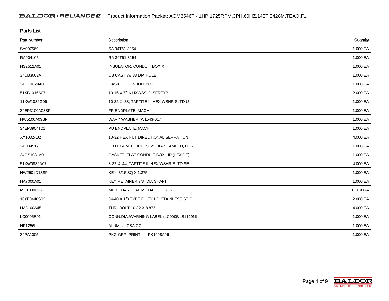| <b>Parts List</b>  |                                          |          |  |  |  |
|--------------------|------------------------------------------|----------|--|--|--|
| <b>Part Number</b> | Description                              | Quantity |  |  |  |
| SA007569           | SA 34T61-3254                            | 1.000 EA |  |  |  |
| RA004105           | RA 34T61-3254                            | 1.000 EA |  |  |  |
| NS2512A01          | INSULATOR, CONDUIT BOX X                 | 1.000 EA |  |  |  |
| 34CB3002A          | CB CAST W/.88 DIA HOLE                   | 1.000 EA |  |  |  |
| 34GS1029A01        | GASKET, CONDUIT BOX                      | 1.000 EA |  |  |  |
| 51XB1016A07        | 10-16 X 7/16 HXWSSLD SERTYB              | 2.000 EA |  |  |  |
| 11XW1032G06        | 10-32 X .38, TAPTITE II, HEX WSHR SLTD U | 1.000 EA |  |  |  |
| 34EP3100A03SP      | FR ENDPLATE, MACH                        | 1.000 EA |  |  |  |
| HW5100A03SP        | WAVY WASHER (W1543-017)                  | 1.000 EA |  |  |  |
| 34EP3904T01        | PU ENDPLATE, MACH                        | 1.000 EA |  |  |  |
| XY1032A02          | 10-32 HEX NUT DIRECTIONAL SERRATION      | 4.000 EA |  |  |  |
| 34CB4517           | CB LID 4 MTG HOLES .22 DIA STAMPED, FOR  | 1.000 EA |  |  |  |
| 34GS1031A01        | GASKET, FLAT CONDUIT BOX LID (LEXIDE)    | 1.000 EA |  |  |  |
| 51XW0832A07        | 8-32 X .44, TAPTITE II, HEX WSHR SLTD SE | 4.000 EA |  |  |  |
| HW2501D13SP        | KEY, 3/16 SQ X 1.375                     | 1.000 EA |  |  |  |
| HA7000A01          | KEY RETAINER 7/8" DIA SHAFT              | 1.000 EA |  |  |  |
| MG1000G27          | MED CHARCOAL METALLIC GREY               | 0.014 GA |  |  |  |
| 10XF0440S02        | 04-40 X 1/8 TYPE F HEX HD STAINLESS STIC | 2.000 EA |  |  |  |
| HA3100A45          | THRUBOLT 10-32 X 8.875                   | 4.000 EA |  |  |  |
| LC0005E01          | CONN.DIA./WARNING LABEL (LC0005/LB1119N) | 1.000 EA |  |  |  |
| <b>NP1256L</b>     | ALUM UL CSA CC                           | 1.000 EA |  |  |  |
| 34PA1005           | PKG GRP, PRINT<br>PK1008A06              | 1.000 EA |  |  |  |

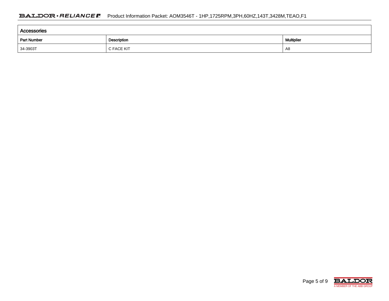| Accessories                       |            |                   |  |  |  |  |  |
|-----------------------------------|------------|-------------------|--|--|--|--|--|
| <b>Part Number</b><br>Description |            | <b>Multiplier</b> |  |  |  |  |  |
| 34-3903T                          | C FACE KIT | A8                |  |  |  |  |  |

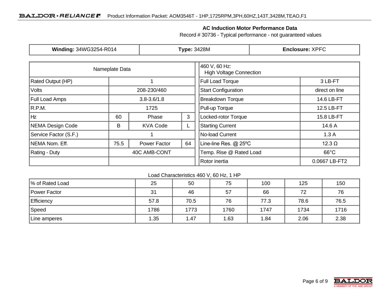### **AC Induction Motor Performance Data**

Record # 30736 - Typical performance - not guaranteed values

| Winding: 34WG3254-R014 |                            |                   | <b>Type: 3428M</b>                              | <b>Enclosure: XPFC</b>     |                |  |
|------------------------|----------------------------|-------------------|-------------------------------------------------|----------------------------|----------------|--|
|                        | Nameplate Data             |                   | 460 V, 60 Hz:<br><b>High Voltage Connection</b> |                            |                |  |
| Rated Output (HP)      |                            |                   | <b>Full Load Torque</b>                         | 3 LB-FT                    |                |  |
| Volts                  |                            | 208-230/460       |                                                 | <b>Start Configuration</b> | direct on line |  |
| <b>Full Load Amps</b>  |                            | $3.8 - 3.6 / 1.8$ |                                                 | <b>Breakdown Torque</b>    | 14.6 LB-FT     |  |
| R.P.M.                 |                            | 1725              |                                                 | Pull-up Torque             | 12.5 LB-FT     |  |
| Hz                     | 60                         | 3<br>Phase        |                                                 | Locked-rotor Torque        | 15.8 LB-FT     |  |
| NEMA Design Code       | B<br><b>KVA Code</b><br>ц. |                   | <b>Starting Current</b>                         | 14.6 A                     |                |  |
| Service Factor (S.F.)  |                            |                   |                                                 | No-load Current            | 1.3A           |  |
| NEMA Nom. Eff.         | 75.5                       | Power Factor      | 64                                              | Line-line Res. @ 25°C      | $12.3 \Omega$  |  |
| <b>Rating - Duty</b>   |                            | 40C AMB-CONT      |                                                 | Temp. Rise @ Rated Load    | $66^{\circ}$ C |  |
|                        |                            |                   |                                                 | Rotor inertia              | 0.0667 LB-FT2  |  |

Load Characteristics 460 V, 60 Hz, 1 HP

| % of Rated Load   | 25   | 50   | 75   | 100  | 125  | 150  |
|-------------------|------|------|------|------|------|------|
| Power Factor      | 31   | 46   | 57   | 66   | 72   | 76   |
| <b>Efficiency</b> | 57.8 | 70.5 | 76   | 77.3 | 78.6 | 76.5 |
| Speed             | 1786 | 1773 | 1760 | 1747 | 1734 | 1716 |
| Line amperes      | 1.35 | 1.47 | 1.63 | .84  | 2.06 | 2.38 |

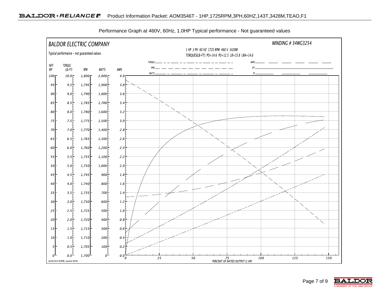

Performance Graph at 460V, 60Hz, 1.0HP Typical performance - Not guaranteed values

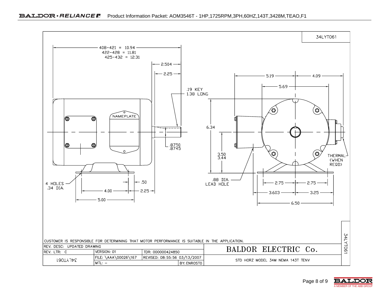